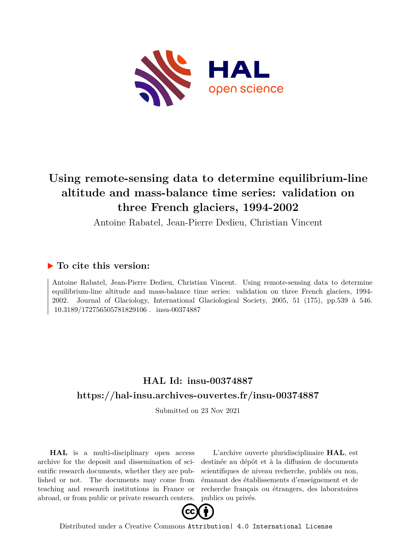

# **Using remote-sensing data to determine equilibrium-line altitude and mass-balance time series: validation on three French glaciers, 1994-2002**

Antoine Rabatel, Jean-Pierre Dedieu, Christian Vincent

### **To cite this version:**

Antoine Rabatel, Jean-Pierre Dedieu, Christian Vincent. Using remote-sensing data to determine equilibrium-line altitude and mass-balance time series: validation on three French glaciers, 1994- 2002. Journal of Glaciology, International Glaciological Society, 2005, 51 (175), pp.539 à 546.  $10.3189/172756505781829106$ . insu-00374887

### **HAL Id: insu-00374887 <https://hal-insu.archives-ouvertes.fr/insu-00374887>**

Submitted on 23 Nov 2021

**HAL** is a multi-disciplinary open access archive for the deposit and dissemination of scientific research documents, whether they are published or not. The documents may come from teaching and research institutions in France or abroad, or from public or private research centers.

L'archive ouverte pluridisciplinaire **HAL**, est destinée au dépôt et à la diffusion de documents scientifiques de niveau recherche, publiés ou non, émanant des établissements d'enseignement et de recherche français ou étrangers, des laboratoires publics ou privés.



Distributed under a Creative Commons [Attribution| 4.0 International License](http://creativecommons.org/licenses/by/4.0/)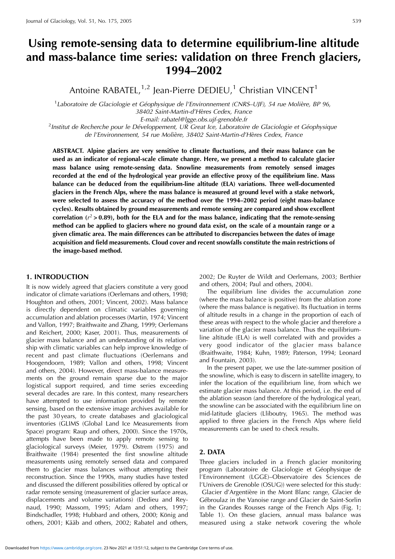## **Using remote-sensing data to determine equilibrium-line altitude and mass-balance time series: validation on three French glaciers, 1994–2002**

Antoine RABATEL, $1,2$  Jean-Pierre DEDIEU,<sup>1</sup> Christian VINCENT<sup>1</sup>

<sup>1</sup> Laboratoire de Glaciologie et Géophysique de l'Environnement (CNRS-UJF), 54 rue Molière, BP 96, 38402 Saint-Martin-d'Hères Cedex, France<br>E-mail: rabatel@lgge.obs.ujf-grenoble.fr

E-mail: rabatel@lgge.obs.ujf-grenoble.fr<br>Institut de Recherche pour le Développement, UR Great Ice, Laboratoire de Glaciologie et Géophysique<sup>?</sup> de l'Environnement, 54 rue Molière, 38402 Saint-Martin-d'Hères Cedex, France

**ABSTRACT. Alpine glaciers are very sensitive to climate fluctuations, and their mass balance can be used as an indicator of regional-scale climate change. Here, we present a method to calculate glacier mass balance using remote-sensing data. Snowline measurements from remotely sensed images recorded at the end of the hydrological year provide an effective proxy of the equilibrium line. Mass balance can be deduced from the equilibrium-line altitude (ELA) variations. Three well-documented glaciers in the French Alps, where the mass balance is measured at ground level with a stake network, were selected to assess the accuracy of the method over the 1994–2002 period (eight mass-balance cycles). Results obtained by ground measurements and remote sensing are compared and show excellent** correlation  $(r^2 > 0.89)$ , both for the ELA and for the mass balance, indicating that the remote-sensing **method can be applied to glaciers where no ground data exist, on the scale of a mountain range or a given climatic area. The main differences can be attributed to discrepancies between the dates of image acquisition and field measurements. Cloud cover and recent snowfalls constitute the main restrictions of the image-based method.**

#### **1. INTRODUCTION**

It is now widely agreed that glaciers constitute a very good indicator of climate variations (Oerlemans and others, 1998; Houghton and others, 2001; Vincent, 2002). Mass balance is directly dependent on climatic variables governing accumulation and ablation processes (Martin, 1974; Vincent and Vallon, 1997; Braithwaite and Zhang, 1999; Oerlemans and Reichert, 2000; Kaser, 2001). Thus, measurements of glacier mass balance and an understanding of its relationship with climatic variables can help improve knowledge of recent and past climate fluctuations (Oerlemans and Hoogendoorn, 1989; Vallon and others, 1998; Vincent and others, 2004). However, direct mass-balance measurements on the ground remain sparse due to the major logistical support required, and time series exceeding several decades are rare. In this context, many researchers have attempted to use information provided by remote sensing, based on the extensive image archives available for the past 30 years, to create databases and glaciological inventories (GLIMS (Global Land Ice Measurements from Space) program: Raup and others, 2000). Since the 1970s, attempts have been made to apply remote sensing to glaciological surveys (Meier, 1979). Østrem (1975) and Braithwaite (1984) presented the first snowline altitude measurements using remotely sensed data and compared them to glacier mass balances without attempting their reconstruction. Since the 1990s, many studies have tested and discussed the different possibilities offered by optical or radar remote sensing (measurement of glacier surface areas, displacements and volume variations) (Dedieu and Reynaud, 1990; Massom, 1995; Adam and others, 1997; Bindschadler, 1998; Hubbard and others, 2000; König and others, 2001; Kääb and others, 2002; Rabatel and others,

2002; De Ruyter de Wildt and Oerlemans, 2003; Berthier and others, 2004; Paul and others, 2004).

The equilibrium line divides the accumulation zone (where the mass balance is positive) from the ablation zone (where the mass balance is negative). Its fluctuation in terms of altitude results in a change in the proportion of each of these areas with respect to the whole glacier and therefore a variation of the glacier mass balance. Thus the equilibriumline altitude (ELA) is well correlated with and provides a very good indicator of the glacier mass balance (Braithwaite, 1984; Kuhn, 1989; Paterson, 1994; Leonard and Fountain, 2003).

In the present paper, we use the late-summer position of the snowline, which is easy to discern in satellite imagery, to infer the location of the equilibrium line, from which we estimate glacier mass balance. At this period, i.e. the end of the ablation season (and therefore of the hydrological year), the snowline can be associated with the equilibrium line on mid-latitude glaciers (Lliboutry, 1965). The method was applied to three glaciers in the French Alps where field measurements can be used to check results.

#### **2. DATA**

Three glaciers included in a French glacier monitoring program (Laboratoire de Glaciologie et Géophysique de l'Environnement (LGGE)–Observatoire des Sciences de l'Univers de Grenoble (OSUG)) were selected for this study: Glacier d'Argentière in the Mont Blanc range, Glacier de Gébroulaz in the Vanoise range and Glacier de Saint-Sorlin in the Grandes Rousses range of the French Alps (Fig. 1; Table 1). On these glaciers, annual mass balance was measured using a stake network covering the whole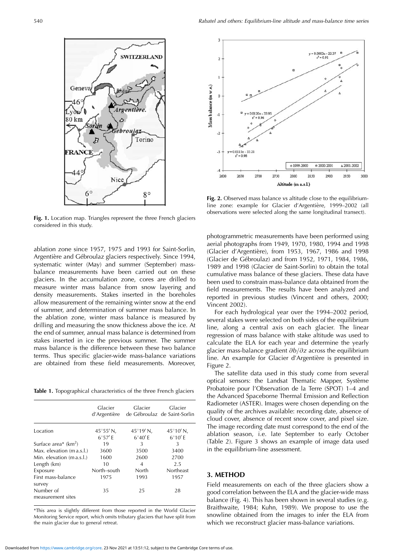

**Fig. 1.** Location map. Triangles represent the three French glaciers considered in this study.

ablation zone since 1957, 1975 and 1993 for Saint-Sorlin, Argentière and Gébroulaz glaciers respectively. Since 1994, systematic winter (May) and summer (September) massbalance measurements have been carried out on these glaciers. In the accumulation zone, cores are drilled to measure winter mass balance from snow layering and density measurements. Stakes inserted in the boreholes allow measurement of the remaining winter snow at the end of summer, and determination of summer mass balance. In the ablation zone, winter mass balance is measured by drilling and measuring the snow thickness above the ice. At the end of summer, annual mass balance is determined from stakes inserted in ice the previous summer. The summer mass balance is the difference between these two balance terms. Thus specific glacier-wide mass-balance variations are obtained from these field measurements. Moreover,

**Table 1.** Topographical characteristics of the three French glaciers

|                                | Glacier<br>d'Argentière | Glacier            | Glacier<br>de Gébroulaz de Saint-Sorlin |
|--------------------------------|-------------------------|--------------------|-----------------------------------------|
| Location                       | $45^{\circ}55'$ N,      | $45^{\circ}19'$ N, | $45^{\circ}10'$ N,                      |
|                                | $6^{\circ}57'$ F        | $6^{\circ}40'$ F   | $6^{\circ}10'$ F                        |
| Surface area* $(km^2)$         | 19                      | 3                  | 3                                       |
| Max. elevation (m a.s.l.)      | 3600                    | 3500               | 3400                                    |
| Min. elevation (m a.s.l.)      | 1600                    | 2600               | 2700                                    |
| Length (km)                    | 10                      | 4                  | 2.5                                     |
| Exposure                       | North-south             | North              | Northeast                               |
| First mass-balance<br>survey   | 1975                    | 1993               | 1957                                    |
| Number of<br>measurement sites | 35                      | 25                 | 28                                      |
|                                |                         |                    |                                         |

\*This area is slightly different from those reported in the World Glacier Monitoring Service report, which omits tributary glaciers that have split from the main glacier due to general retreat.



Fig. 2. Observed mass balance vs altitude close to the equilibriumline zone: example for Glacier d'Argentière, 1999–2002 (all observations were selected along the same longitudinal transect).

photogrammetric measurements have been performed using aerial photographs from 1949, 1970, 1980, 1994 and 1998 (Glacier d'Argentière), from 1953, 1967, 1986 and 1998 (Glacier de Gébroulaz) and from 1952, 1971, 1984, 1986, 1989 and 1998 (Glacier de Saint-Sorlin) to obtain the total cumulative mass balance of these glaciers. These data have been used to constrain mass-balance data obtained from the field measurements. The results have been analyzed and reported in previous studies (Vincent and others, 2000; Vincent 2002).

For each hydrological year over the 1994–2002 period, several stakes were selected on both sides of the equilibrium line, along a central axis on each glacier. The linear regression of mass balance with stake altitude was used to calculate the ELA for each year and determine the yearly glacier mass-balance gradient  $\partial b/\partial z$  across the equilibrium line. An example for Glacier d'Argentière is presented in Figure 2.

The satellite data used in this study come from several optical sensors: the Landsat Thematic Mapper, Système Probatoire pour l'Observation de la Terre (SPOT) 1–4 and the Advanced Spaceborne Thermal Emission and Reflection Radiometer (ASTER). Images were chosen depending on the quality of the archives available: recording date, absence of cloud cover, absence of recent snow cover, and pixel size. The image recording date must correspond to the end of the ablation season, i.e. late September to early October (Table 2). Figure 3 shows an example of image data used in the equilibrium-line assessment.

#### **3. METHOD**

Field measurements on each of the three glaciers show a good correlation between the ELA and the glacier-wide mass balance (Fig. 4). This has been shown in several studies (e.g. Braithwaite, 1984; Kuhn, 1989). We propose to use the snowline obtained from the images to infer the ELA from which we reconstruct glacier mass-balance variations.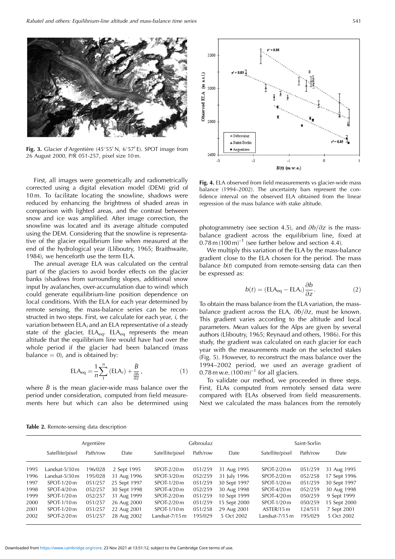

Fig. 3. Glacier d'Argentière (45°55' N, 6°57' E). SPOT image from 26 August 2000, P/R 051-257, pixel size 10 m.

First, all images were geometrically and radiometrically corrected using a digital elevation model (DEM) grid of 10 m. To facilitate locating the snowline, shadows were reduced by enhancing the brightness of shaded areas in comparison with lighted areas, and the contrast between snow and ice was amplified. After image correction, the snowline was located and its average altitude computed using the DEM. Considering that the snowline is representative of the glacier equilibrium line when measured at the end of the hydrological year (Lliboutry, 1965; Braithwaite, 1984), we henceforth use the term ELA.

The annual average ELA was calculated on the central part of the glaciers to avoid border effects on the glacier banks (shadows from surrounding slopes, additional snow input by avalanches, over-accumulation due to wind) which could generate equilibrium-line position dependence on local conditions. With the ELA for each year determined by remote sensing, the mass-balance series can be reconstructed in two steps. First, we calculate for each year, i, the variation between  $ELA_i$  and an ELA representative of a steady state of the glacier,  $ELA_{eq}$ .  $ELA_{eq}$  represents the mean altitude that the equilibrium line would have had over the whole period if the glacier had been balanced (mass balance  $= 0$ , and is obtained by:

$$
ELA_{eq} = \frac{1}{n} \sum_{1}^{n} \left( ELA_{i} \right) + \frac{\bar{B}}{\frac{\partial b}{\partial z}}, \qquad (1)
$$

where  $\bar{B}$  is the mean glacier-wide mass balance over the period under consideration, computed from field measurements here but which can also be determined using



**Fig. 4.** ELA observed from field measurements vs glacier-wide mass balance (1994–2002). The uncertainty bars represent the confidence interval on the observed ELA obtained from the linear regression of the mass balance with stake altitude.

photogrammetry (see section 4.5), and  $\partial b/\partial z$  is the massbalance gradient across the equilibrium line, fixed at  $0.78$  m  $(100 \text{ m})^{-1}$  (see further below and section 4.4).

We multiply this variation of the ELA by the mass-balance gradient close to the ELA chosen for the period. The mass balance  $b(t)$  computed from remote-sensing data can then be expressed as:

$$
b(t) = (ELA_{eq} - ELA_i) \frac{\partial b}{\partial z}.
$$
 (2)

To obtain the mass balance from the ELA variation, the massbalance gradient across the ELA,  $\partial b/\partial z$ , must be known. This gradient varies according to the altitude and local parameters. Mean values for the Alps are given by several authors (Lliboutry, 1965; Reynaud and others, 1986). For this study, the gradient was calculated on each glacier for each year with the measurements made on the selected stakes (Fig. 5). However, to reconstruct the mass balance over the 1994–2002 period, we used an average gradient of 0.78 m w.e.  $(100 \,\mathrm{m})^{-1}$  for all glaciers.

To validate our method, we proceeded in three steps. First, ELAs computed from remotely sensed data were compared with ELAs observed from field measurements. Next we calculated the mass balances from the remotely

|  |  |  | <b>Table 2.</b> Remote-sensing data description |  |  |  |  |
|--|--|--|-------------------------------------------------|--|--|--|--|
|--|--|--|-------------------------------------------------|--|--|--|--|

|      | Argentière        |          |              | Gébroulaz        |          | Saint-Sorlin |                  |          |              |
|------|-------------------|----------|--------------|------------------|----------|--------------|------------------|----------|--------------|
|      | Satellite/pixel   | Path/row | Date         | Satellite/pixel  | Path/row | Date         | Satellite/pixel  | Path/row | Date         |
| 1995 | Landsat-5/30 m    | 196/028  | 2 Sept 1995  | $S$ POT-2/20 $m$ | 051/259  | 31 Aug 1995  | $SPOT-2/20m$     | 051/259  | 31 Aug 1995  |
| 1996 | Landsat- $5/30$ m | 195/028  | 31 Aug 1996  | SPOT-3/20 m      | 052/259  | 31 July 1996 | SPOT-2/20 m      | 052/258  | 17 Sept 1996 |
| 1997 | $S$ POT-1/20 $m$  | 051/257  | 25 Sept 1997 | SPOT-1/20 m      | 051/259  | 30 Sept 1997 | $S$ POT-1/20 m   | 051/259  | 30 Sept 1997 |
| 1998 | $S$ POT-4/20 $m$  | 052/257  | 30 Sept 1998 | $S$ POT-4/20 $m$ | 052/259  | 30 Aug 1998  | SPOT-4/20 m      | 052/259  | 30 Aug 1998  |
| 1999 | $S$ POT-1/20 m    | 052/257  | 31 Aug 1999  | $SPOT-2/20m$     | 051/259  | 10 Sept 1999 | $S$ POT-4/20 m   | 050/259  | 9 Sept 1999  |
| 2000 | $S$ POT-1/10 $m$  | 051/257  | 26 Aug 2000  | $SPOT-2/20m$     | 051/259  | 15 Sept 2000 | $S$ POT-1/20 $m$ | 050/259  | 15 Sept 2000 |
| 2001 | $S$ POT-1/20 $m$  | 051/257  | 22 Aug 2001  | $S$ POT-1/10 $m$ | 051/258  | 29 Aug 2001  | ASTER/15 m       | 124/511  | 7 Sept 2001  |
| 2002 | $SPOT-2/20m$      | 051/257  | 28 Aug 2002  | Landsat-7/15 m   | 195/029  | 5 Oct 2002   | Landsat-7/15 m   | 195/029  | 5 Oct 2002   |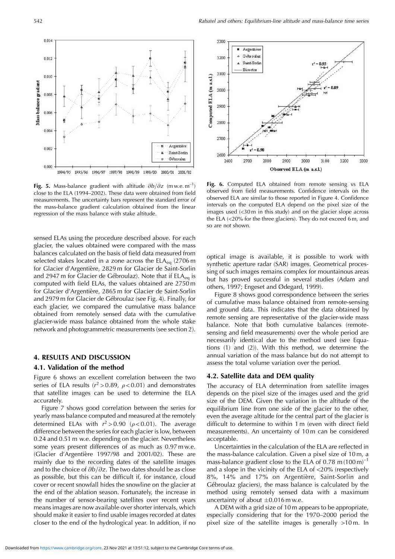0.014

0.012

0.010

 $0.008$ 

0.006

0.004

0.002

0.000

1994/95

1995/96

1996/97

Mass-balance gradient

**Fig. 5.** Mass-balance gradient with altitude  $\partial b/\partial z$  (m w.e. m<sup>-1</sup>) close to the ELA (1994–2002). These data were obtained from field measurements. The uncertainty bars represent the standard error of the mass-balance gradient calculation obtained from the linear regression of the mass balance with stake altitude.

1997/98

1998/99

1999/00

Argentière

Saint-Sorlin

Gébroulaz

2001/02

2000/01

sensed ELAs using the procedure described above. For each glacier, the values obtained were compared with the mass balances calculated on the basis of field data measured from selected stakes located in a zone across the  $ELA_{eq}$  (2706 m for Glacier d'Argentière, 2829 m for Glacier de Saint-Sorlin and 2947 m for Glacier de Gébroulaz). Note that if  $ELA<sub>eq</sub>$  is computed with field ELAs, the values obtained are 2750 m for Glacier d'Argentière, 2865 m for Glacier de Saint-Sorlin and 2979 m for Glacier de Gébroulaz (see Fig. 4). Finally, for each glacier, we compared the cumulative mass balance obtained from remotely sensed data with the cumulative glacier-wide mass balance obtained from the whole stake network and photogrammetric measurements (see section 2).

#### **4. RESULTS AND DISCUSSION**

#### **4.1. Validation of the method**

Figure 6 shows an excellent correlation between the two series of ELA results ( $r^2 > 0.89$ ,  $\rho < 0.01$ ) and demonstrates that satellite images can be used to determine the ELA accurately.

Figure 7 shows good correlation between the series for yearly mass balance computed and measured at the remotely determined ELAs with  $r^2 > 0.90$  ( $\rho < 0.01$ ). The average difference between the series for each glacier is low, between 0.24 and 0.51 m w.e. depending on the glacier. Nevertheless some years present differences of as much as 0.97 m w.e.  $(G| \text{acier } d'$ Argentière 1997/98 and 2001/02). These are mainly due to the recording dates of the satellite images and to the choice of  $\partial b/\partial z$ . The two dates should be as close as possible, but this can be difficult if, for instance, cloud cover or recent snowfall hides the snowline on the glacier at the end of the ablation season. Fortunately, the increase in the number of sensor-bearing satellites over recent years means images are now available over shorter intervals, which should make it easier to find usable images recorded at dates closer to the end of the hydrological year. In addition, if no



**Fig. 6.** Computed ELA obtained from remote sensing vs ELA observed from field measurements. Confidence intervals on the observed ELA are similar to those reported in Figure 4. Confidence intervals on the computed ELA depend on the pixel size of the images used (<30 m in this study) and on the glacier slope across the ELA (<20% for the three glaciers). They do not exceed 6 m, and so are not shown.

optical image is available, it is possible to work with synthetic aperture radar (SAR) images. Geometrical processing of such images remains complex for mountainous areas but has proved successful in several studies (Adam and others, 1997; Engeset and Ødegard, 1999).

Figure 8 shows good correspondence between the series of cumulative mass balance obtained from remote-sensing and ground data. This indicates that the data obtained by remote sensing are representative of the glacier-wide mass balance. Note that both cumulative balances (remotesensing and field measurements) over the whole period are necessarily identical due to the method used (see Equations (1) and (2)). With this method, we determine the annual variation of the mass balance but do not attempt to assess the total volume variation over the period.

#### **4.2. Satellite data and DEM quality**

The accuracy of ELA determination from satellite images depends on the pixel size of the images used and the grid size of the DEM. Given the variation in the altitude of the equilibrium line from one side of the glacier to the other, even the average altitude for the central part of the glacier is difficult to determine to within 1 m (even with direct field measurements). An uncertainty of 10 m can be considered acceptable.

Uncertainties in the calculation of the ELA are reflected in the mass-balance calculation. Given a pixel size of 10 m, a mass-balance gradient close to the ELA of 0.78 m  $(100 \text{ m})^{-1}$ and a slope in the vicinity of the ELA of  $<20\%$  (respectively 8%, 14% and 17% on Argentière, Saint-Sorlin and Gébroulaz glaciers), the mass balance is calculated by the method using remotely sensed data with a maximum uncertainty of about  $\pm 0.016$  m w.e.

A DEM with a grid size of 10 m appears to be appropriate, especially considering that for the 1970–2000 period the pixel size of the satellite images is generally >10 m. In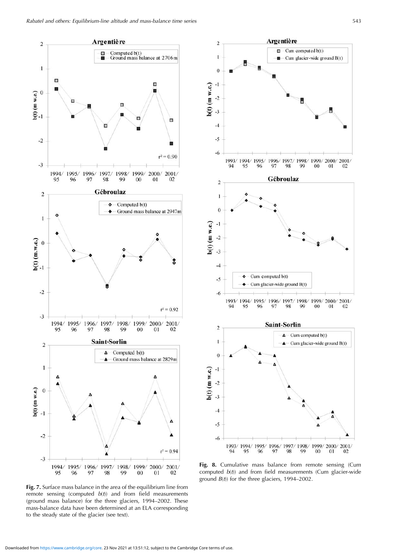

**Fig. 7.** Surface mass balance in the area of the equilibrium line from remote sensing (computed  $b(t)$ ) and from field measurements (ground mass balance) for the three glaciers, 1994–2002. These mass-balance data have been determined at an ELA corresponding to the steady state of the glacier (see text).



**Fig. 8.** Cumulative mass balance from remote sensing (Cum computed  $b(t)$  and from field measurements (Cum glacier-wide ground  $B(t)$ ) for the three glaciers, 1994–2002.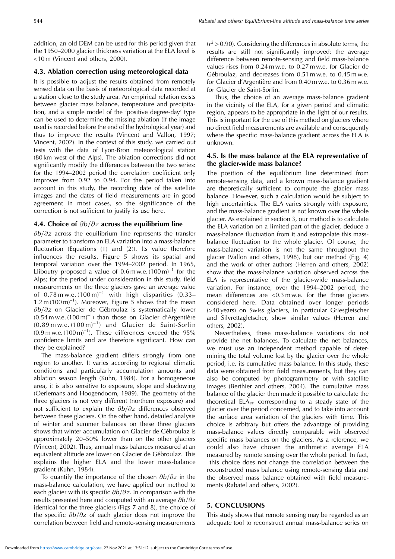addition, an old DEM can be used for this period given that the 1950–2000 glacier thickness variation at the ELA level is <10 m (Vincent and others, 2000).

#### **4.3. Ablation correction using meteorological data**

It is possible to adjust the results obtained from remotely sensed data on the basis of meteorological data recorded at a station close to the study area. An empirical relation exists between glacier mass balance, temperature and precipitation, and a simple model of the 'positive degree-day' type can be used to determine the missing ablation (if the image used is recorded before the end of the hydrological year) and thus to improve the results (Vincent and Vallon, 1997; Vincent, 2002). In the context of this study, we carried out tests with the data of Lyon-Bron meteorological station (80 km west of the Alps). The ablation corrections did not significantly modify the differences between the two series: for the 1994–2002 period the correlation coefficient only improves from 0.92 to 0.94. For the period taken into account in this study, the recording date of the satellite images and the dates of field measurements are in good agreement in most cases, so the significance of the correction is not sufficient to justify its use here.

#### **4.4. Choice of**  $\partial b/\partial z$  across the equilibrium line

 $\partial b/\partial z$  across the equilibrium line represents the transfer parameter to transform an ELA variation into a mass-balance fluctuation (Equations (1) and (2)). Its value therefore influences the results. Figure 5 shows its spatial and temporal variation over the 1994–2002 period. In 1965, Lliboutry proposed a value of  $0.6$  m w.e.  $(100 \text{ m})^{-1}$  for the Alps; for the period under consideration in this study, field measurements on the three glaciers gave an average value of  $0.78$  m w.e.  $(100 \text{ m})^{-1}$  with high disparities  $(0.33-$ 1.2 m  $(100 \text{ m})^{-1}$ ). Moreover, Figure 5 shows that the mean  $\partial b/\partial z$  on Glacier de Gébroulaz is systematically lower  $(0.54 \text{ m} \text{ w} \cdot \text{e} \cdot (100 \text{ m})^{-1})$  than those on Glacier d'Argentière  $(0.89 \text{ m} \text{ w} \cdot \text{e} \cdot (100 \text{ m})^{-1})$  and Glacier de Saint-Sorlin  $(0.9 \text{ m} \text{ w} \cdot \text{e} \cdot (100 \text{ m})^{-1})$ . These differences exceed the 95% confidence limits and are therefore significant. How can they be explained?

The mass-balance gradient differs strongly from one region to another. It varies according to regional climatic conditions and particularly accumulation amounts and ablation season length (Kuhn, 1984). For a homogeneous area, it is also sensitive to exposure, slope and shadowing (Oerlemans and Hoogendoorn, 1989). The geometry of the three glaciers is not very different (northern exposure) and not sufficient to explain the  $\partial b/\partial z$  differences observed between these glaciers. On the other hand, detailed analysis of winter and summer balances on these three glaciers shows that winter accumulation on Glacier de Gébroulaz is approximately 20–50% lower than on the other glaciers (Vincent, 2002). Thus, annual mass balances measured at an equivalent altitude are lower on Glacier de Gébroulaz. This explains the higher ELA and the lower mass-balance gradient (Kuhn, 1984).

To quantify the importance of the chosen  $\partial b/\partial z$  in the mass-balance calculation, we have applied our method to each glacier with its specific  $\partial b/\partial z$ . In comparison with the results presented here and computed with an average  $\partial b/\partial z$ identical for the three glaciers (Figs 7 and 8), the choice of the specific  $\partial b/\partial z$  of each glacier does not improve the correlation between field and remote-sensing measurements  $(r^2 > 0.90)$ . Considering the differences in absolute terms, the results are still not significantly improved: the average difference between remote-sensing and field mass-balance values rises from 0.24 m w.e. to 0.27 m w.e. for Glacier de Gébroulaz, and decreases from 0.51 m w.e. to 0.45 m w.e. for Glacier d'Argentière and from 0.40 m w.e. to 0.36 m w.e. for Glacier de Saint-Sorlin.

Thus, the choice of an average mass-balance gradient in the vicinity of the ELA, for a given period and climatic region, appears to be appropriate in the light of our results. This is important for the use of this method on glaciers where no direct field measurements are available and consequently where the specific mass-balance gradient across the ELA is unknown.

#### **4.5. Is the mass balance at the ELA representative of the glacier-wide mass balance?**

The position of the equilibrium line determined from remote-sensing data, and a known mass-balance gradient are theoretically sufficient to compute the glacier mass balance. However, such a calculation would be subject to high uncertainties. The ELA varies strongly with exposure, and the mass-balance gradient is not known over the whole glacier. As explained in section 3, our method is to calculate the ELA variation on a limited part of the glacier, deduce a mass-balance fluctuation from it and extrapolate this massbalance fluctuation to the whole glacier. Of course, the mass-balance variation is not the same throughout the glacier (Vallon and others, 1998), but our method (Fig. 4) and the work of other authors (Herren and others, 2002) show that the mass-balance variation observed across the ELA is representative of the glacier-wide mass-balance variation. For instance, over the 1994–2002 period, the mean differences are <0.3 m w.e. for the three glaciers considered here. Data obtained over longer periods (>40 years) on Swiss glaciers, in particular Griesgletscher and Silvrettagletscher, show similar values (Herren and others, 2002).

Nevertheless, these mass-balance variations do not provide the net balances. To calculate the net balances, we must use an independent method capable of determining the total volume lost by the glacier over the whole period, i.e. its cumulative mass balance. In this study, these data were obtained from field measurements, but they can also be computed by photogrammetry or with satellite images (Berthier and others, 2004). The cumulative mass balance of the glacier then made it possible to calculate the theoretical  $ELA_{eq}$  corresponding to a steady state of the glacier over the period concerned, and to take into account the surface area variation of the glaciers with time. This choice is arbitrary but offers the advantage of providing mass-balance values directly comparable with observed specific mass balances on the glaciers. As a reference, we could also have chosen the arithmetic average ELA measured by remote sensing over the whole period. In fact, this choice does not change the correlation between the reconstructed mass balance using remote-sensing data and the observed mass balance obtained with field measurements (Rabatel and others, 2002).

#### **5. CONCLUSIONS**

This study shows that remote sensing may be regarded as an adequate tool to reconstruct annual mass-balance series on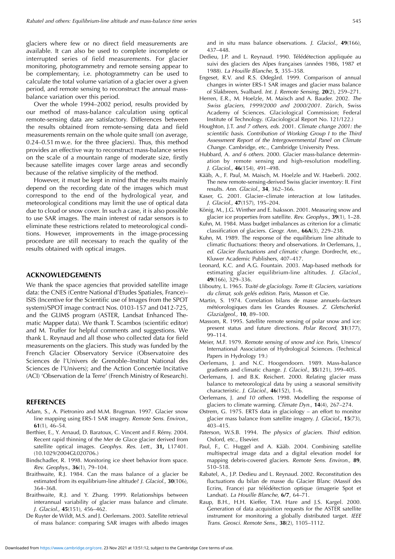glaciers where few or no direct field measurements are available. It can also be used to complete incomplete or interrupted series of field measurements. For glacier monitoring, photogrammetry and remote sensing appear to be complementary, i.e. photogrammetry can be used to calculate the total volume variation of a glacier over a given period, and remote sensing to reconstruct the annual massbalance variation over this period.

Over the whole 1994–2002 period, results provided by our method of mass-balance calculation using optical remote-sensing data are satisfactory. Differences between the results obtained from remote-sensing data and field measurements remain on the whole quite small (on average, 0.24–0.51 m w.e. for the three glaciers). Thus, this method provides an effective way to reconstruct mass-balance series on the scale of a mountain range of moderate size, firstly because satellite images cover large areas and secondly because of the relative simplicity of the method.

However, it must be kept in mind that the results mainly depend on the recording date of the images which must correspond to the end of the hydrological year, and meteorological conditions may limit the use of optical data due to cloud or snow cover. In such a case, it is also possible to use SAR images. The main interest of radar sensors is to eliminate these restrictions related to meteorological conditions. However, improvements in the image-processing procedure are still necessary to reach the quality of the results obtained with optical images.

#### **ACKNOWLEDGEMENTS**

We thank the space agencies that provided satellite image data: the CNES (Centre National d'Etudes Spatiales, France)– ISIS (Incentive for the Scientific use of Images from the SPOT system)/SPOT image contract Nos. 0103-157 and 0412-725, and the GLIMS program (ASTER, Landsat Enhanced Thematic Mapper data). We thank T. Scambos (scientific editor) and M. Truffer for helpful comments and suggestions. We thank L. Reynaud and all those who collected data for field measurements on the glaciers. This study was funded by the French Glacier Observatory Service (Observatoire des Sciences de l'Univers de Grenoble–Institut National des Sciences de l'Univers); and the Action Concertée Incitative (ACI) 'Observation de la Terre' (French Ministry of Research).

#### **REFERENCES**

- Adam, S., A. Pietroniro and M.M. Brugman. 1997. Glacier snow line mapping using ERS-1 SAR imagery. Remote Sens. Environ., **61**(1), 46–54.
- Berthier, E., Y. Arnaud, D. Baratoux, C. Vincent and F. Rémy. 2004. Recent rapid thinning of the Mer de Glace glacier derived from satellite optical images. Geophys. Res. Lett., **31,** L17401. (10.1029/2004GL020706.)
- Bindschadler, R. 1998. Monitoring ice sheet behavior from space. Rev. Geophys., **36**(1), 79–104.
- Braithwaite, R.J. 1984. Can the mass balance of a glacier be estimated from its equilibrium-line altitude? J. Glaciol., **30**(106), 364–368.
- Braithwaite, R.J. and Y. Zhang. 1999. Relationships between interannual variability of glacier mass balance and climate. J. Glaciol., **45**(151), 456–462.
- De Ruyter de Wildt, M.S. and J. Oerlemans. 2003. Satellite retrieval of mass balance: comparing SAR images with albedo images

and in situ mass balance observations. J. Glaciol., **49**(166), 437–448.

- Dedieu, J.P. and L. Reynaud. 1990. Télédétection appliquée au suivi des glaciers des Alpes françaises (années 1986, 1987 et 1988). La Houille Blanche, **5**, 355–358.
- Engeset, R.V. and R.S. Ødegård. 1999. Comparison of annual changes in winter ERS-1 SAR images and glacier mass balance of Slakbreen, Svalbard. Int. J. Remote Sensing, **20**(2), 259–271.
- Herren, E.R., M. Hoelzle, M. Maisch and A. Bauder. 2002. The Swiss glaciers, 1999/2000 and 2000/2001. Zürich, Swiss Academy of Sciences. Glaciological Commission; Federal Institute of Technology. (Glaciological Report No. 121/122.)
- Houghton, J.T. and 7 others, eds. 2001. Climate change 2001: the scientific basis. Contribution of Working Group I to the Third Assessment Report of the Intergovernmental Panel on Climate Change. Cambridge, etc., Cambridge University Press.
- Hubbard, A. and 6 others. 2000. Glacier mass-balance determination by remote sensing and high-resolution modelling. J. Glaciol., **46**(154), 491–498.
- Kääb, A., F. Paul, M. Maisch, M. Hoelzle and W. Haeberli. 2002. The new remote-sensing-derived Swiss glacier inventory: II. First results. Ann. Glaciol., **34**, 362–366.
- Kaser, G. 2001. Glacier–climate interaction at low latitudes. J. Glaciol., **47**(157), 195–204.
- König, M., J.G. Winther and E. Isaksson. 2001. Measuring snow and glacier ice properties from satellite. Rev. Geophys., **39**(1), 1–28.
- Kuhn, M. 1984. Mass budget imbalances as criterion for a climatic classification of glaciers. Geogr. Ann., **66A**(3), 229–238.
- Kuhn, M. 1989. The response of the equilibrium line altitude to climatic fluctuations: theory and observations. In Oerlemans, J., ed. Glacier fluctuations and climatic change. Dordrecht, etc., Kluwer Academic Publishers, 407–417.
- Leonard, K.C. and A.G. Fountain. 2003. Map-based methods for estimating glacier equilibrium-line altitudes. J. Glaciol., **49**(166), 329–336.
- Lliboutry, L. 1965. Traité de glaciology. Tome II: Glaciers, variations du climat, sols gelés edition. Paris, Masson et Cie.
- Martin, S. 1974. Correlation bilans de masse annuels–facteurs météorologiques dans les Grandes Rousses. Z. Gletscherkd. Glazialgeol., **10**, 89–100.
- Massom, R. 1995. Satellite remote sensing of polar snow and ice: present status and future directions. Polar Record, **31**(177), 99–114.
- Meier, M.F. 1979. Remote sensing of snow and ice. Paris, Unesco/ International Association of Hydrological Sciences. (Technical Papers in Hydrology 19.)
- Oerlemans, J. and N.C. Hoogendoorn. 1989. Mass-balance gradients and climatic change. J. Glaciol., **35**(121), 399–405.
- Oerlemans, J. and B.K. Reichert. 2000. Relating glacier mass balance to meteorological data by using a seasonal sensitivity characteristic. J. Glaciol., **46**(152), 1–6.
- Oerlemans, J. and 10 others. 1998. Modelling the response of glaciers to climate warming. Climate Dyn., **14**(4), 267–274.
- Østrem, G. 1975. ERTS data in glaciology an effort to monitor glacier mass balance from satellite imagery. J. Glaciol., **15**(73), 403–415.
- Paterson, W.S.B. 1994. The physics of glaciers. Third edition. Oxford, etc., Elsevier.
- Paul, F., C. Huggel and A. Kääb. 2004. Combining satellite multispectral image data and a digital elevation model for mapping debris-covered glaciers. Remote Sens. Environ., **89**, 510–518.
- Rabatel, A., J.P. Dedieu and L. Reynaud. 2002. Reconstitution des fluctuations du bilan de masse du Glacier Blanc (Massif des Ecrins, France) par télédétection optique (imagerie Spot et Landsat). La Houille Blanche, **6/7**, 64–71.
- Raup, B.H., H.H. Kieffer, T.M. Hare and J.S. Kargel. 2000. Generation of data acquisition requests for the ASTER satellite instrument for monitoring a globally distributed target. IEEE Trans. Geosci. Remote Sens., **38**(2), 1105–1112.